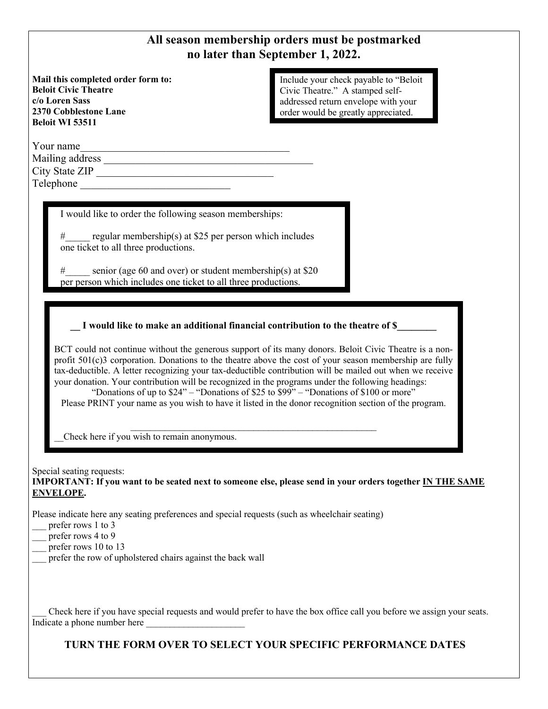## **All season membership orders must be postmarked no later than September 1, 2022.**

**Mail this completed order form to: Beloit Civic Theatre c/o Loren Sass 2370 Cobblestone Lane Beloit WI 53511**

Include your check payable to "Beloit Civic Theatre." A stamped selfaddressed return envelope with your order would be greatly appreciated.

Your name

Mailing address \_ City State ZIP \_\_\_\_\_\_\_\_\_\_\_\_\_\_\_\_\_\_\_\_\_\_\_\_\_\_\_\_\_\_\_\_\_ Telephone \_\_\_\_\_\_\_\_\_\_\_\_\_\_\_\_\_\_\_\_\_\_\_\_\_\_\_\_

I would like to order the following season memberships:

#\_\_\_\_\_ regular membership(s) at \$25 per person which includes one ticket to all three productions.

# senior (age 60 and over) or student membership(s) at \$20 per person which includes one ticket to all three productions.

## **\_\_ I would like to make an additional financial contribution to the theatre of \$\_\_\_\_\_\_\_\_**

BCT could not continue without the generous support of its many donors. Beloit Civic Theatre is a nonprofit 501(c)3 corporation. Donations to the theatre above the cost of your season membership are fully tax-deductible. A letter recognizing your tax-deductible contribution will be mailed out when we receive your donation. Your contribution will be recognized in the programs under the following headings:

"Donations of up to \$24" – "Donations of \$25 to \$99" – "Donations of \$100 or more" Please PRINT your name as you wish to have it listed in the donor recognition section of the program.

 $\mathcal{L}_\text{max}$  , and the contract of the contract of the contract of the contract of the contract of the contract of the contract of the contract of the contract of the contract of the contract of the contract of the contr

\_\_Check here if you wish to remain anonymous.

Special seating requests: **IMPORTANT: If you want to be seated next to someone else, please send in your orders together IN THE SAME ENVELOPE.**

Please indicate here any seating preferences and special requests (such as wheelchair seating)

- \_\_\_ prefer rows 1 to 3
- prefer rows 4 to 9
- prefer rows 10 to 13
- prefer the row of upholstered chairs against the back wall

\_\_\_ Check here if you have special requests and would prefer to have the box office call you before we assign your seats. Indicate a phone number here

**TURN THE FORM OVER TO SELECT YOUR SPECIFIC PERFORMANCE DATES**